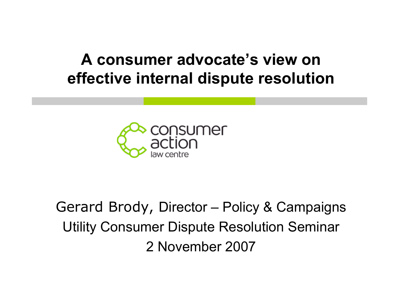## **A consumer advocate's view on effective internal dispute resolution**



# Gerard Brody, Director – Policy & Campaigns Utility Consumer Dispute Resolution Seminar 2 November 2007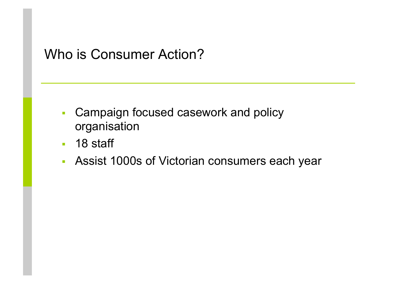### Who is Consumer Action?

- **Campaign focused casework and policy** organisation
- **18 staff**
- Assist 1000s of Victorian consumers each year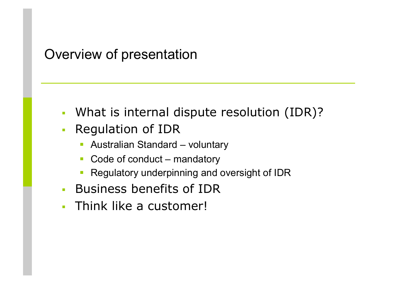#### Overview of presentation

- What is internal dispute resolution (IDR)?
- **Requlation of IDR** 
	- Australian Standard voluntary
	- Code of conduct mandatory
	- Regulatory underpinning and oversight of IDR
- **Business benefits of IDR**
- Think like a customer!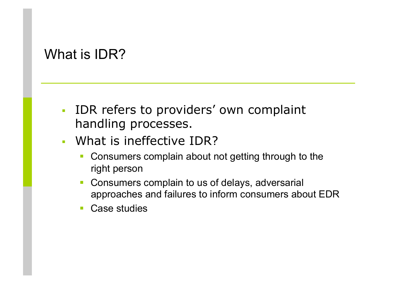### What is IDR?

- **IDR refers to providers' own complaint** handling processes.
- What is ineffective IDR?
	- Consumers complain about not getting through to the right person
	- Consumers complain to us of delays, adversarial approaches and failures to inform consumers about EDR
	- Case studies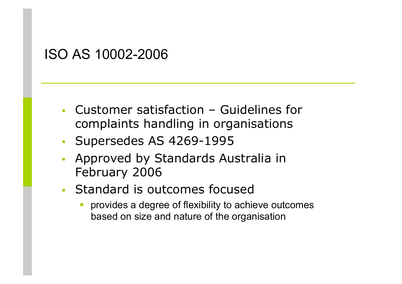#### ISO AS 10002-2006

- Customer satisfaction Guidelines for complaints handling in organisations
- **Supersedes AS 4269-1995**
- Approved by Standards Australia in February 2006
- Standard is outcomes focused
	- provides a degree of flexibility to achieve outcomes based on size and nature of the organisation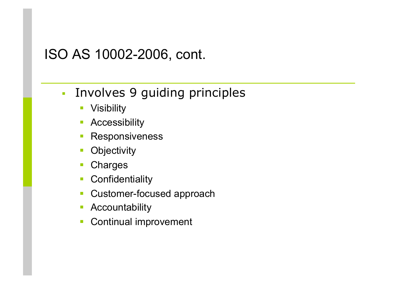#### ISO AS 10002-2006, cont.

- **Involves 9 guiding principles** 
	- **Visibility**
	- **Accessibility**
	- **Responsiveness**
	- **Objectivity**
	- Charges
	- **Confidentiality**
	- **Customer-focused approach**
	- **Accountability**
	- Continual improvement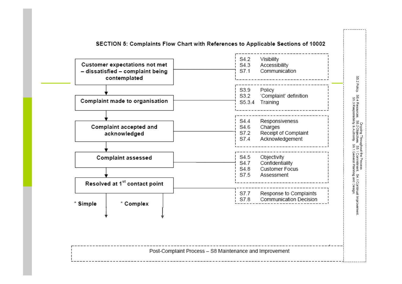| Customer expectations not met<br>- dissatisfied - complaint being<br>contemplated | Visibility<br>S4.2<br>S4.3<br>Accessibility<br>S7.1<br>Communication                                  |
|-----------------------------------------------------------------------------------|-------------------------------------------------------------------------------------------------------|
| Complaint made to organisation                                                    | Policy<br>S3.9<br>'Complaint' definition<br>S3.2<br>S5.3.4 Training                                   |
| Complaint accepted and<br>acknowledged                                            | Responsiveness<br>S4.4<br>S4.6<br>Charges<br>Receipt of Complaint<br>S7.2<br>S7.4<br>Acknowledgement  |
| Complaint assessed                                                                | Objectivity<br>S4.5<br>S4.7<br>Confidentiality<br>S4.8<br><b>Customer Focus</b><br>S7.5<br>Assessment |
| Resolved at 1 <sup>st</sup> contact point                                         |                                                                                                       |
| * Complex<br>* Simple                                                             | Response to Complaints<br>S7.7<br>S7.8<br>Communication Decision                                      |
|                                                                                   |                                                                                                       |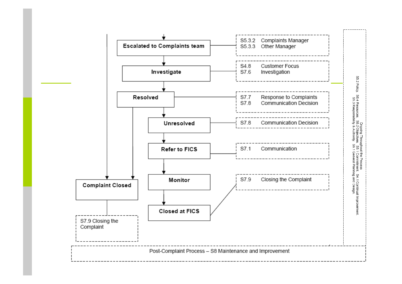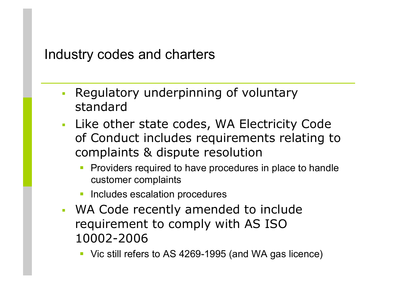#### Industry codes and charters

- Regulatory underpinning of voluntary standard
- Like other state codes, WA Electricity Code of Conduct includes requirements relating to complaints & dispute resolution
	- Providers required to have procedures in place to handle customer complaints
	- Includes escalation procedures
- WA Code recently amended to include requirement to comply with AS ISO 10002-2006
	- Vic still refers to AS 4269-1995 (and WA gas licence)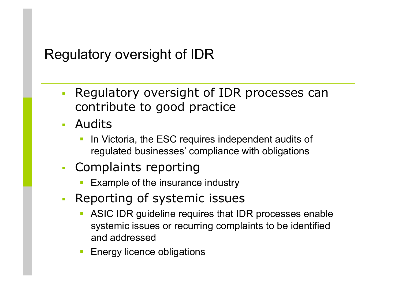## Regulatory oversight of IDR

- Regulatory oversight of IDR processes can contribute to good practice
- Audits
	- In Victoria, the ESC requires independent audits of regulated businesses' compliance with obligations
- **Complaints reporting** 
	- Example of the insurance industry
- Reporting of systemic issues
	- ASIC IDR guideline requires that IDR processes enable systemic issues or recurring complaints to be identified and addressed
	- **Energy licence obligations**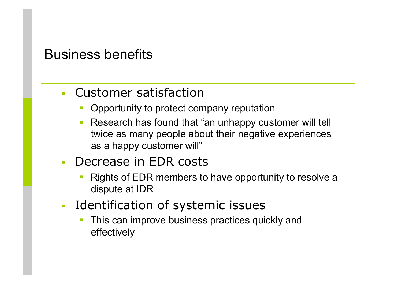#### Business benefits

- Customer satisfaction
	- Opportunity to protect company reputation
	- **Research has found that "an unhappy customer will tell** twice as many people about their negative experiences as a happy customer will"
- **Decrease in EDR costs** 
	- Rights of EDR members to have opportunity to resolve a dispute at IDR
- **I** Identification of systemic issues
	- This can improve business practices quickly and effectively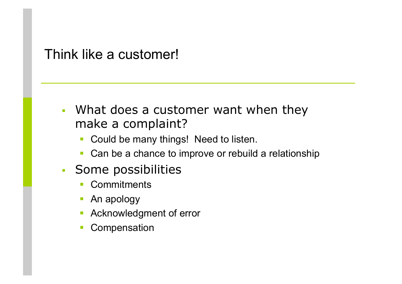Think like a customer!

- What does a customer want when they make a complaint?
	- Could be many things! Need to listen.
	- Can be a chance to improve or rebuild a relationship
- Some possibilities
	- **Commitments**
	- **An apology**
	- **Acknowledgment of error**
	- Compensation